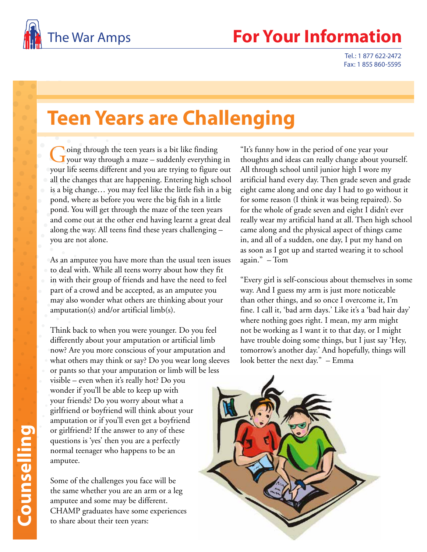

## The War Amps **For Your Information**

Tel.: 1 877 622-2472 Fax: 1 855 860-5595

## **Teen Years are Challenging**

Going through the teen years is a bit like finding<br>your way through a maze – suddenly everything in your life seems different and you are trying to figure out all the changes that are happening. Entering high school is a big change… you may feel like the little fish in a big pond, where as before you were the big fish in a little pond. You will get through the maze of the teen years and come out at the other end having learnt a great deal along the way. All teens find these years challenging – you are not alone.

As an amputee you have more than the usual teen issues to deal with. While all teens worry about how they fit in with their group of friends and have the need to feel part of a crowd and be accepted, as an amputee you may also wonder what others are thinking about your amputation(s) and/or artificial limb(s).

Think back to when you were younger. Do you feel differently about your amputation or artificial limb now? Are you more conscious of your amputation and what others may think or say? Do you wear long sleeves or pants so that your amputation or limb will be less visible – even when it's really hot? Do you wonder if you'll be able to keep up with your friends? Do you worry about what a girlfriend or boyfriend will think about your amputation or if you'll even get a boyfriend or girlfriend? If the answer to any of these questions is 'yes' then you are a perfectly normal teenager who happens to be an amputee.

Some of the challenges you face will be the same whether you are an arm or a leg amputee and some may be different. CHAMP graduates have some experiences to share about their teen years:

"It's funny how in the period of one year your thoughts and ideas can really change about yourself. All through school until junior high I wore my artificial hand every day. Then grade seven and grade eight came along and one day I had to go without it for some reason (I think it was being repaired). So for the whole of grade seven and eight I didn't ever really wear my artificial hand at all. Then high school came along and the physical aspect of things came in, and all of a sudden, one day, I put my hand on as soon as I got up and started wearing it to school again." – Tom

"Every girl is self-conscious about themselves in some way. And I guess my arm is just more noticeable than other things, and so once I overcome it, I'm fine. I call it, 'bad arm days.' Like it's a 'bad hair day' where nothing goes right. I mean, my arm might not be working as I want it to that day, or I might have trouble doing some things, but I just say 'Hey, tomorrow's another day.' And hopefully, things will look better the next day." – Emma